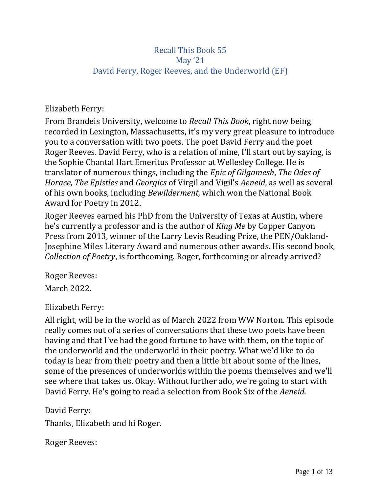## Recall This Book 55 May '21 David Ferry, Roger Reeves, and the Underworld (EF)

Elizabeth Ferry:

From Brandeis University, welcome to *Recall This Book*, right now being recorded in Lexington, Massachusetts, it's my very great pleasure to introduce you to a conversation with two poets. The poet David Ferry and the poet Roger Reeves. David Ferry, who is a relation of mine, I'll start out by saying, is the Sophie Chantal Hart Emeritus Professor at Wellesley College. He is translator of numerous things, including the *Epic of Gilgamesh*, *The Odes of Horace, The Epistles* and *Georgics* of Virgil and Vigil's *Aeneid*, as well as several of his own books, including *Bewilderment,* which won the National Book Award for Poetry in 2012.

Roger Reeves earned his PhD from the University of Texas at Austin, where he's currently a professor and is the author of *King Me* by Copper Canyon Press from 2013, winner of the Larry Levis Reading Prize, the PEN/Oakland-Josephine Miles Literary Award and numerous other awards. His second book, *Collection of Poetry*, is forthcoming. Roger, forthcoming or already arrived?

Roger Reeves: March 2022.

## Elizabeth Ferry:

All right, will be in the world as of March 2022 from WW Norton. This episode really comes out of a series of conversations that these two poets have been having and that I've had the good fortune to have with them, on the topic of the underworld and the underworld in their poetry. What we'd like to do today is hear from their poetry and then a little bit about some of the lines, some of the presences of underworlds within the poems themselves and we'll see where that takes us. Okay. Without further ado, we're going to start with David Ferry. He's going to read a selection from Book Six of the *Aeneid*.

David Ferry:

Thanks, Elizabeth and hi Roger.

Roger Reeves: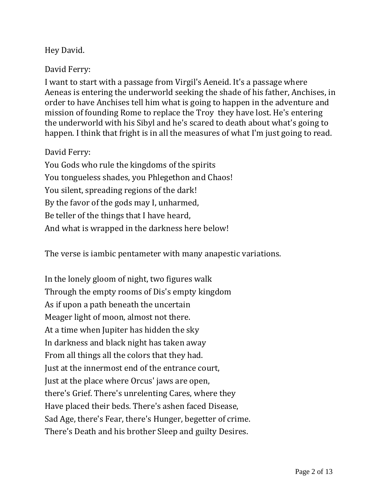# Hey David.

### David Ferry:

I want to start with a passage from Virgil's Aeneid. It's a passage where Aeneas is entering the underworld seeking the shade of his father, Anchises, in order to have Anchises tell him what is going to happen in the adventure and mission of founding Rome to replace the Troy they have lost. He's entering the underworld with his Sibyl and he's scared to death about what's going to happen. I think that fright is in all the measures of what I'm just going to read.

#### David Ferry:

You Gods who rule the kingdoms of the spirits You tongueless shades, you Phlegethon and Chaos! You silent, spreading regions of the dark! By the favor of the gods may I, unharmed, Be teller of the things that I have heard, And what is wrapped in the darkness here below!

The verse is iambic pentameter with many anapestic variations.

In the lonely gloom of night, two figures walk Through the empty rooms of Dis's empty kingdom As if upon a path beneath the uncertain Meager light of moon, almost not there. At a time when Jupiter has hidden the sky In darkness and black night has taken away From all things all the colors that they had. Just at the innermost end of the entrance court, Just at the place where Orcus' jaws are open, there's Grief. There's unrelenting Cares, where they Have placed their beds. There's ashen faced Disease, Sad Age, there's Fear, there's Hunger, begetter of crime. There's Death and his brother Sleep and guilty Desires.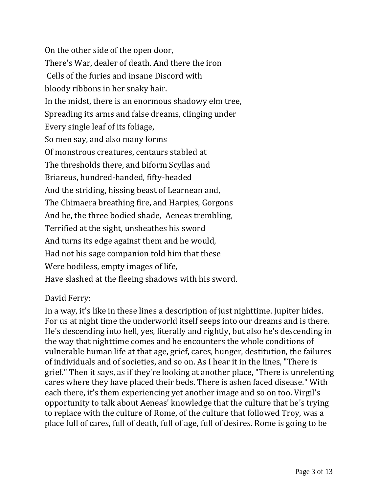On the other side of the open door, There's War, dealer of death. And there the iron Cells of the furies and insane Discord with bloody ribbons in her snaky hair. In the midst, there is an enormous shadowy elm tree, Spreading its arms and false dreams, clinging under Every single leaf of its foliage, So men say, and also many forms Of monstrous creatures, centaurs stabled at The thresholds there, and biform Scyllas and Briareus, hundred-handed, fifty-headed And the striding, hissing beast of Learnean and, The Chimaera breathing fire, and Harpies, Gorgons And he, the three bodied shade, Aeneas trembling, Terrified at the sight, unsheathes his sword And turns its edge against them and he would, Had not his sage companion told him that these Were bodiless, empty images of life, Have slashed at the fleeing shadows with his sword.

#### David Ferry:

In a way, it's like in these lines a description of just nighttime. Jupiter hides. For us at night time the underworld itself seeps into our dreams and is there. He's descending into hell, yes, literally and rightly, but also he's descending in the way that nighttime comes and he encounters the whole conditions of vulnerable human life at that age, grief, cares, hunger, destitution, the failures of individuals and of societies, and so on. As I hear it in the lines, "There is grief." Then it says, as if they're looking at another place, "There is unrelenting cares where they have placed their beds. There is ashen faced disease." With each there, it's them experiencing yet another image and so on too. Virgil's opportunity to talk about Aeneas' knowledge that the culture that he's trying to replace with the culture of Rome, of the culture that followed Troy, was a place full of cares, full of death, full of age, full of desires. Rome is going to be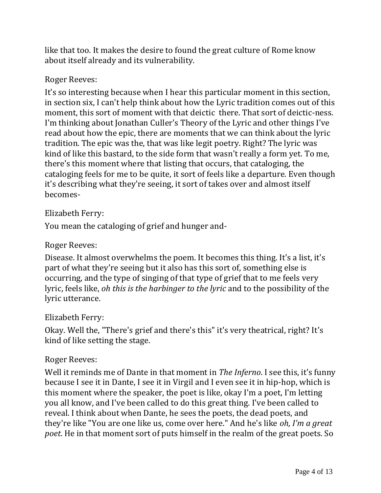like that too. It makes the desire to found the great culture of Rome know about itself already and its vulnerability.

### Roger Reeves:

It's so interesting because when I hear this particular moment in this section, in section six, I can't help think about how the Lyric tradition comes out of this moment, this sort of moment with that deictic there. That sort of deictic-ness. I'm thinking about Jonathan Culler's Theory of the Lyric and other things I've read about how the epic, there are moments that we can think about the lyric tradition. The epic was the, that was like legit poetry. Right? The lyric was kind of like this bastard, to the side form that wasn't really a form yet. To me, there's this moment where that listing that occurs, that cataloging, the cataloging feels for me to be quite, it sort of feels like a departure. Even though it's describing what they're seeing, it sort of takes over and almost itself becomes-

### Elizabeth Ferry:

You mean the cataloging of grief and hunger and-

#### Roger Reeves:

Disease. It almost overwhelms the poem. It becomes this thing. It's a list, it's part of what they're seeing but it also has this sort of, something else is occurring, and the type of singing of that type of grief that to me feels very lyric, feels like, *oh this is the harbinger to the lyric* and to the possibility of the lyric utterance.

#### Elizabeth Ferry:

Okay. Well the, "There's grief and there's this" it's very theatrical, right? It's kind of like setting the stage.

#### Roger Reeves:

Well it reminds me of Dante in that moment in *The Inferno*. I see this, it's funny because I see it in Dante, I see it in Virgil and I even see it in hip-hop, which is this moment where the speaker, the poet is like, okay I'm a poet, I'm letting you all know, and I've been called to do this great thing. I've been called to reveal. I think about when Dante, he sees the poets, the dead poets, and they're like "You are one like us, come over here." And he's like *oh, I'm a great poet*. He in that moment sort of puts himself in the realm of the great poets. So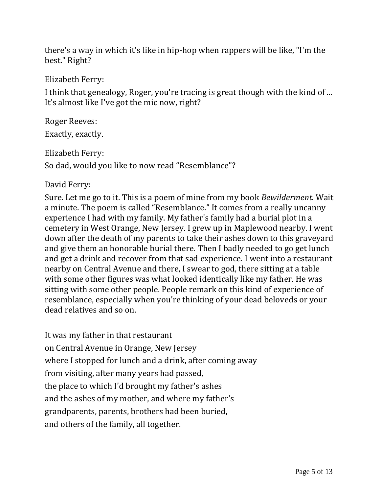there's a way in which it's like in hip-hop when rappers will be like, "I'm the best." Right?

Elizabeth Ferry:

I think that genealogy, Roger, you're tracing is great though with the kind of ... It's almost like I've got the mic now, right?

Roger Reeves: Exactly, exactly.

Elizabeth Ferry:

So dad, would you like to now read "Resemblance"?

### David Ferry:

Sure. Let me go to it. This is a poem of mine from my book *Bewilderment.* Wait a minute. The poem is called "Resemblance." It comes from a really uncanny experience I had with my family. My father's family had a burial plot in a cemetery in West Orange, New Jersey. I grew up in Maplewood nearby. I went down after the death of my parents to take their ashes down to this graveyard and give them an honorable burial there. Then I badly needed to go get lunch and get a drink and recover from that sad experience. I went into a restaurant nearby on Central Avenue and there, I swear to god, there sitting at a table with some other figures was what looked identically like my father. He was sitting with some other people. People remark on this kind of experience of resemblance, especially when you're thinking of your dead beloveds or your dead relatives and so on.

It was my father in that restaurant on Central Avenue in Orange, New Jersey where I stopped for lunch and a drink, after coming away from visiting, after many years had passed, the place to which I'd brought my father's ashes and the ashes of my mother, and where my father's grandparents, parents, brothers had been buried, and others of the family, all together.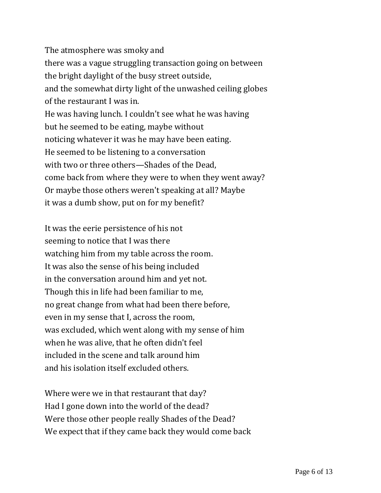The atmosphere was smoky and there was a vague struggling transaction going on between the bright daylight of the busy street outside, and the somewhat dirty light of the unwashed ceiling globes of the restaurant I was in. He was having lunch. I couldn't see what he was having but he seemed to be eating, maybe without noticing whatever it was he may have been eating. He seemed to be listening to a conversation with two or three others—Shades of the Dead, come back from where they were to when they went away? Or maybe those others weren't speaking at all? Maybe it was a dumb show, put on for my benefit?

It was the eerie persistence of his not seeming to notice that I was there watching him from my table across the room. It was also the sense of his being included in the conversation around him and yet not. Though this in life had been familiar to me, no great change from what had been there before, even in my sense that I, across the room, was excluded, which went along with my sense of him when he was alive, that he often didn't feel included in the scene and talk around him and his isolation itself excluded others.

Where were we in that restaurant that day? Had I gone down into the world of the dead? Were those other people really Shades of the Dead? We expect that if they came back they would come back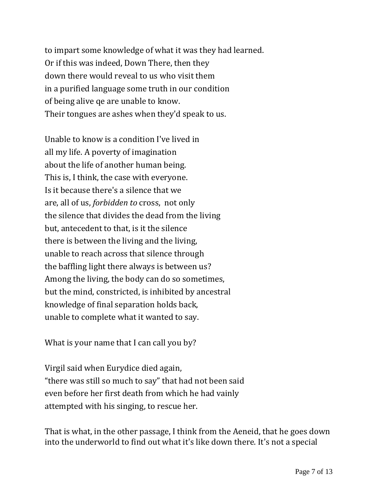to impart some knowledge of what it was they had learned. Or if this was indeed, Down There, then they down there would reveal to us who visit them in a purified language some truth in our condition of being alive qe are unable to know. Their tongues are ashes when they'd speak to us.

Unable to know is a condition I've lived in all my life. A poverty of imagination about the life of another human being. This is, I think, the case with everyone. Is it because there's a silence that we are, all of us, *forbidden to* cross, not only the silence that divides the dead from the living but, antecedent to that, is it the silence there is between the living and the living, unable to reach across that silence through the baffling light there always is between us? Among the living, the body can do so sometimes, but the mind, constricted, is inhibited by ancestral knowledge of final separation holds back, unable to complete what it wanted to say.

What is your name that I can call you by?

Virgil said when Eurydice died again, "there was still so much to say" that had not been said even before her first death from which he had vainly attempted with his singing, to rescue her.

That is what, in the other passage, I think from the Aeneid, that he goes down into the underworld to find out what it's like down there. It's not a special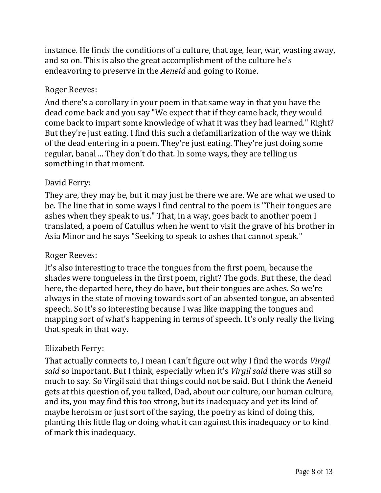instance. He finds the conditions of a culture, that age, fear, war, wasting away, and so on. This is also the great accomplishment of the culture he's endeavoring to preserve in the *Aeneid* and going to Rome.

## Roger Reeves:

And there's a corollary in your poem in that same way in that you have the dead come back and you say "We expect that if they came back, they would come back to impart some knowledge of what it was they had learned." Right? But they're just eating. I find this such a defamiliarization of the way we think of the dead entering in a poem. They're just eating. They're just doing some regular, banal ... They don't do that. In some ways, they are telling us something in that moment.

## David Ferry:

They are, they may be, but it may just be there we are. We are what we used to be. The line that in some ways I find central to the poem is "Their tongues are ashes when they speak to us." That, in a way, goes back to another poem I translated, a poem of Catullus when he went to visit the grave of his brother in Asia Minor and he says "Seeking to speak to ashes that cannot speak."

## Roger Reeves:

It's also interesting to trace the tongues from the first poem, because the shades were tongueless in the first poem, right? The gods. But these, the dead here, the departed here, they do have, but their tongues are ashes. So we're always in the state of moving towards sort of an absented tongue, an absented speech. So it's so interesting because I was like mapping the tongues and mapping sort of what's happening in terms of speech. It's only really the living that speak in that way.

# Elizabeth Ferry:

That actually connects to, I mean I can't figure out why I find the words *Virgil said* so important. But I think, especially when it's *Virgil said* there was still so much to say. So Virgil said that things could not be said. But I think the Aeneid gets at this question of, you talked, Dad, about our culture, our human culture, and its, you may find this too strong, but its inadequacy and yet its kind of maybe heroism or just sort of the saying, the poetry as kind of doing this, planting this little flag or doing what it can against this inadequacy or to kind of mark this inadequacy.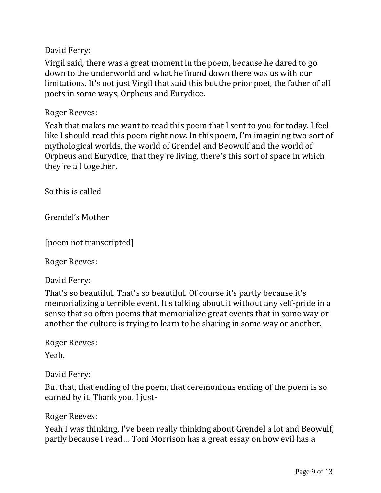David Ferry:

Virgil said, there was a great moment in the poem, because he dared to go down to the underworld and what he found down there was us with our limitations. It's not just Virgil that said this but the prior poet, the father of all poets in some ways, Orpheus and Eurydice.

Roger Reeves:

Yeah that makes me want to read this poem that I sent to you for today. I feel like I should read this poem right now. In this poem, I'm imagining two sort of mythological worlds, the world of Grendel and Beowulf and the world of Orpheus and Eurydice, that they're living, there's this sort of space in which they're all together.

So this is called

Grendel's Mother

[poem not transcripted]

Roger Reeves:

David Ferry:

That's so beautiful. That's so beautiful. Of course it's partly because it's memorializing a terrible event. It's talking about it without any self-pride in a sense that so often poems that memorialize great events that in some way or another the culture is trying to learn to be sharing in some way or another.

Roger Reeves:

Yeah.

David Ferry:

But that, that ending of the poem, that ceremonious ending of the poem is so earned by it. Thank you. I just-

Roger Reeves:

Yeah I was thinking, I've been really thinking about Grendel a lot and Beowulf, partly because I read ... Toni Morrison has a great essay on how evil has a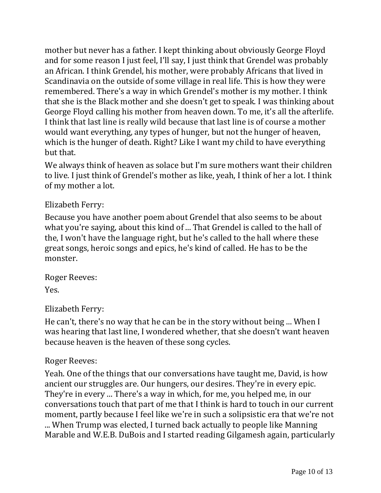mother but never has a father. I kept thinking about obviously George Floyd and for some reason I just feel, I'll say, I just think that Grendel was probably an African. I think Grendel, his mother, were probably Africans that lived in Scandinavia on the outside of some village in real life. This is how they were remembered. There's a way in which Grendel's mother is my mother. I think that she is the Black mother and she doesn't get to speak. I was thinking about George Floyd calling his mother from heaven down. To me, it's all the afterlife. I think that last line is really wild because that last line is of course a mother would want everything, any types of hunger, but not the hunger of heaven, which is the hunger of death. Right? Like I want my child to have everything but that.

We always think of heaven as solace but I'm sure mothers want their children to live. I just think of Grendel's mother as like, yeah, I think of her a lot. I think of my mother a lot.

## Elizabeth Ferry:

Because you have another poem about Grendel that also seems to be about what you're saying, about this kind of ... That Grendel is called to the hall of the, I won't have the language right, but he's called to the hall where these great songs, heroic songs and epics, he's kind of called. He has to be the monster.

Roger Reeves: Yes.

## Elizabeth Ferry:

He can't, there's no way that he can be in the story without being ... When I was hearing that last line, I wondered whether, that she doesn't want heaven because heaven is the heaven of these song cycles.

## Roger Reeves:

Yeah. One of the things that our conversations have taught me, David, is how ancient our struggles are. Our hungers, our desires. They're in every epic. They're in every ... There's a way in which, for me, you helped me, in our conversations touch that part of me that I think is hard to touch in our current moment, partly because I feel like we're in such a solipsistic era that we're not ... When Trump was elected, I turned back actually to people like Manning Marable and W.E.B. DuBois and I started reading Gilgamesh again, particularly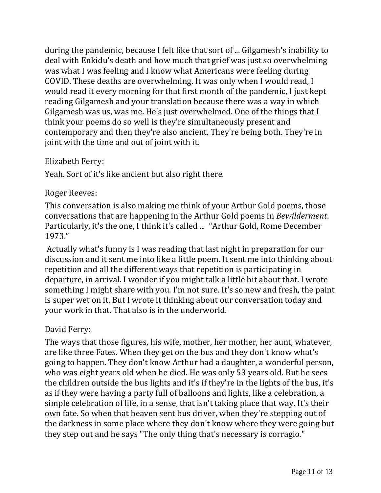during the pandemic, because I felt like that sort of ... Gilgamesh's inability to deal with Enkidu's death and how much that grief was just so overwhelming was what I was feeling and I know what Americans were feeling during COVID. These deaths are overwhelming. It was only when I would read, I would read it every morning for that first month of the pandemic, I just kept reading Gilgamesh and your translation because there was a way in which Gilgamesh was us, was me. He's just overwhelmed. One of the things that I think your poems do so well is they're simultaneously present and contemporary and then they're also ancient. They're being both. They're in joint with the time and out of joint with it.

#### Elizabeth Ferry:

Yeah. Sort of it's like ancient but also right there.

#### Roger Reeves:

This conversation is also making me think of your Arthur Gold poems, those conversations that are happening in the Arthur Gold poems in *Bewilderment*. Particularly, it's the one, I think it's called ... "Arthur Gold, Rome December 1973."

Actually what's funny is I was reading that last night in preparation for our discussion and it sent me into like a little poem. It sent me into thinking about repetition and all the different ways that repetition is participating in departure, in arrival. I wonder if you might talk a little bit about that. I wrote something I might share with you. I'm not sure. It's so new and fresh, the paint is super wet on it. But I wrote it thinking about our conversation today and your work in that. That also is in the underworld.

#### David Ferry:

The ways that those figures, his wife, mother, her mother, her aunt, whatever, are like three Fates. When they get on the bus and they don't know what's going to happen. They don't know Arthur had a daughter, a wonderful person, who was eight years old when he died. He was only 53 years old. But he sees the children outside the bus lights and it's if they're in the lights of the bus, it's as if they were having a party full of balloons and lights, like a celebration, a simple celebration of life, in a sense, that isn't taking place that way. It's their own fate. So when that heaven sent bus driver, when they're stepping out of the darkness in some place where they don't know where they were going but they step out and he says "The only thing that's necessary is corragio."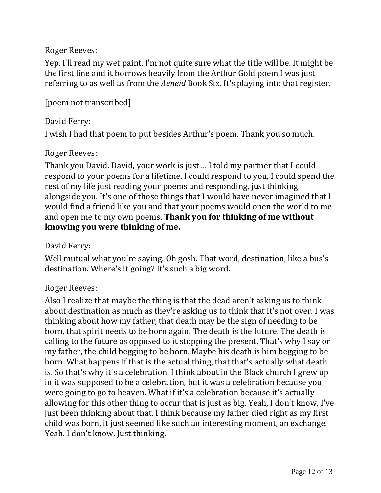Roger Reeves:

Yep. I'll read my wet paint. I'm not quite sure what the title will be. It might be the first line and it borrows heavily from the Arthur Gold poem I was just referring to as well as from the *Aeneid* Book Six. It's playing into that register.

[poem not transcribed]

# David Ferry:

I wish I had that poem to put besides Arthur's poem. Thank you so much.

## Roger Reeves:

Thank you David. David, your work is just ... I told my partner that I could respond to your poems for a lifetime. I could respond to you, I could spend the rest of my life just reading your poems and responding, just thinking alongside you. It's one of those things that I would have never imagined that I would find a friend like you and that your poems would open the world to me and open me to my own poems. **Thank you for thinking of me without knowing you were thinking of me.**

## David Ferry:

Well mutual what you're saying. Oh gosh. That word, destination, like a bus's destination. Where's it going? It's such a big word.

# Roger Reeves:

Also I realize that maybe the thing is that the dead aren't asking us to think about destination as much as they're asking us to think that it's not over. I was thinking about how my father, that death may be the sign of needing to be born, that spirit needs to be born again. The death is the future. The death is calling to the future as opposed to it stopping the present. That's why I say or my father, the child begging to be born. Maybe his death is him begging to be born. What happens if that is the actual thing, that that's actually what death is. So that's why it's a celebration. I think about in the Black church I grew up in it was supposed to be a celebration, but it was a celebration because you were going to go to heaven. What if it's a celebration because it's actually allowing for this other thing to occur that is just as big. Yeah, I don't know, I've just been thinking about that. I think because my father died right as my first child was born, it just seemed like such an interesting moment, an exchange. Yeah. I don't know. Just thinking.